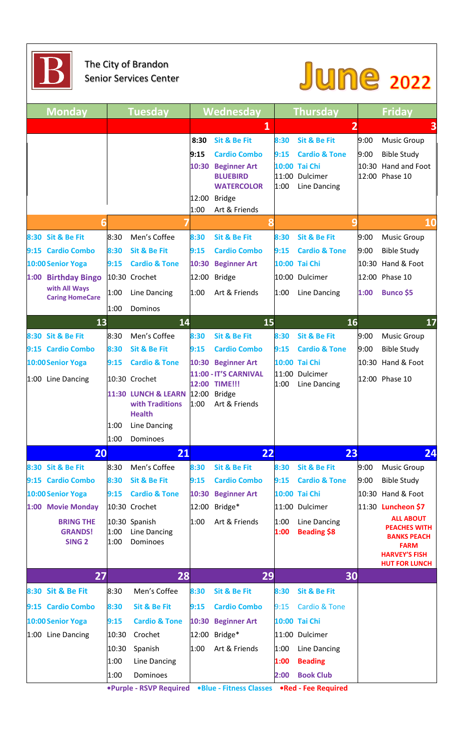

## The City of Brandon Senior Services Center

## June 2022

| <b>Monday</b>                                       |              | <b>Tuesday</b>                                                          |                                        | Wednesday                                                                                                                                       | <b>Thursday</b>      |                                                                                                        | <b>Friday</b>         |                                                                                                                              |
|-----------------------------------------------------|--------------|-------------------------------------------------------------------------|----------------------------------------|-------------------------------------------------------------------------------------------------------------------------------------------------|----------------------|--------------------------------------------------------------------------------------------------------|-----------------------|------------------------------------------------------------------------------------------------------------------------------|
|                                                     |              |                                                                         |                                        | 1                                                                                                                                               |                      | $\overline{2}$                                                                                         |                       | 3                                                                                                                            |
|                                                     |              |                                                                         | 8:30<br>9:15<br>10:30<br>12:00<br>1:00 | <b>Sit &amp; Be Fit</b><br><b>Cardio Combo</b><br><b>Beginner Art</b><br><b>BLUEBIRD</b><br><b>WATERCOLOR</b><br><b>Bridge</b><br>Art & Friends | 8:30<br>9:15<br>1:00 | <b>Sit &amp; Be Fit</b><br><b>Cardio &amp; Tone</b><br>10:00 Tai Chi<br>11:00 Dulcimer<br>Line Dancing | 9:00<br>9:00<br>10:30 | <b>Music Group</b><br><b>Bible Study</b><br>Hand and Foot<br>12:00 Phase 10                                                  |
|                                                     |              |                                                                         |                                        | 8                                                                                                                                               |                      | 9                                                                                                      |                       | <b>10</b>                                                                                                                    |
| 8:30 Sit & Be Fit                                   | 8:30         | Men's Coffee                                                            | 8:30                                   | <b>Sit &amp; Be Fit</b>                                                                                                                         | 8:30                 | <b>Sit &amp; Be Fit</b>                                                                                | 9:00                  | <b>Music Group</b>                                                                                                           |
| 9:15 Cardio Combo                                   | 8:30         | <b>Sit &amp; Be Fit</b>                                                 | 9:15                                   | <b>Cardio Combo</b>                                                                                                                             | 9:15                 | <b>Cardio &amp; Tone</b>                                                                               | 9:00                  | <b>Bible Study</b>                                                                                                           |
| 10:00 Senior Yoga                                   | 9:15         | <b>Cardio &amp; Tone</b>                                                | 10:30                                  | <b>Beginner Art</b>                                                                                                                             |                      | 10:00 Tai Chi                                                                                          | 10:30                 | Hand & Foot                                                                                                                  |
| 1:00<br><b>Birthday Bingo</b>                       |              | 10:30 Crochet                                                           |                                        | 12:00 Bridge                                                                                                                                    |                      | 10:00 Dulcimer                                                                                         |                       | 12:00 Phase 10                                                                                                               |
| with All Ways<br><b>Caring HomeCare</b>             | 1:00         | Line Dancing                                                            | 1:00                                   | Art & Friends                                                                                                                                   | 1:00                 | Line Dancing                                                                                           | 1:00                  | <b>Bunco \$5</b>                                                                                                             |
|                                                     | 1:00         | Dominos                                                                 |                                        |                                                                                                                                                 |                      |                                                                                                        |                       |                                                                                                                              |
| 13                                                  |              | 14                                                                      |                                        | 15                                                                                                                                              |                      | 16                                                                                                     |                       | 17                                                                                                                           |
| 8:30 Sit & Be Fit                                   | 8:30         | Men's Coffee                                                            | 8:30                                   | <b>Sit &amp; Be Fit</b>                                                                                                                         | 8:30                 | <b>Sit &amp; Be Fit</b>                                                                                | 9:00                  | <b>Music Group</b>                                                                                                           |
| 9:15 Cardio Combo                                   | 8:30         | <b>Sit &amp; Be Fit</b>                                                 | 9:15                                   | <b>Cardio Combo</b>                                                                                                                             | 9:15                 | <b>Cardio &amp; Tone</b>                                                                               | 9:00                  | <b>Bible Study</b>                                                                                                           |
| 10:00 Senior Yoga                                   | 9:15         | <b>Cardio &amp; Tone</b>                                                | 10:30                                  | <b>Beginner Art</b>                                                                                                                             |                      | 10:00 Tai Chi                                                                                          | 10:30                 | Hand & Foot                                                                                                                  |
| 1:00 Line Dancing                                   |              | 10:30 Crochet                                                           |                                        | 11:00 - IT'S CARNIVAL<br>12:00 TIME !!!                                                                                                         |                      | 11:00 Dulcimer                                                                                         |                       | 12:00 Phase 10                                                                                                               |
|                                                     | 1:00         | 11:30 LUNCH & LEARN<br>with Traditions<br><b>Health</b><br>Line Dancing | 12:00<br>1:00                          | <b>Bridge</b><br>Art & Friends                                                                                                                  | 1:00                 | Line Dancing                                                                                           |                       |                                                                                                                              |
|                                                     | 1:00         | Dominoes                                                                |                                        |                                                                                                                                                 |                      |                                                                                                        |                       |                                                                                                                              |
| 20                                                  |              | 21                                                                      |                                        | 22                                                                                                                                              |                      | 23                                                                                                     |                       | 24                                                                                                                           |
| 8:30 Sit & Be Fit                                   | 8:30         | Men's Coffee                                                            | 8:30                                   | <b>Sit &amp; Be Fit</b>                                                                                                                         | 8:30                 | <b>Sit &amp; Be Fit</b>                                                                                | 9:00                  | <b>Music Group</b>                                                                                                           |
| 9:15 Cardio Combo                                   | 8:30<br>9:15 | <b>Sit &amp; Be Fit</b><br><b>Cardio &amp; Tone</b>                     | 9:15                                   | <b>Cardio Combo</b>                                                                                                                             | 9:15                 | <b>Cardio &amp; Tone</b><br>10:00 Tai Chi                                                              | 9:00                  | <b>Bible Study</b><br>10:30 Hand & Foot                                                                                      |
| 10:00 Senior Yoga<br>1:00 Movie Monday              |              | 10:30 Crochet                                                           | 10:30<br>12:00                         | <b>Beginner Art</b><br>Bridge*                                                                                                                  |                      | 11:00 Dulcimer                                                                                         |                       | 11:30 <b>Luncheon \$7</b>                                                                                                    |
| <b>BRING THE</b><br><b>GRANDS!</b><br><b>SING 2</b> | 1:00<br>1:00 | 10:30 Spanish<br>Line Dancing<br>Dominoes                               | 1:00                                   | Art & Friends                                                                                                                                   | 1:00<br>1:00         | Line Dancing<br><b>Beading \$8</b>                                                                     |                       | <b>ALL ABOUT</b><br><b>PEACHES WITH</b><br><b>BANKS PEACH</b><br><b>FARM</b><br><b>HARVEY'S FISH</b><br><b>HUT FOR LUNCH</b> |
| 27                                                  |              | 28                                                                      |                                        | 29                                                                                                                                              |                      | 30                                                                                                     |                       |                                                                                                                              |
| 8:30 Sit & Be Fit                                   | 8:30         | Men's Coffee                                                            | 8:30                                   | <b>Sit &amp; Be Fit</b>                                                                                                                         | 8:30                 | <b>Sit &amp; Be Fit</b>                                                                                |                       |                                                                                                                              |
| 9:15 Cardio Combo                                   | 8:30         | <b>Sit &amp; Be Fit</b>                                                 | 9:15                                   | <b>Cardio Combo</b>                                                                                                                             | 9:15                 | <b>Cardio &amp; Tone</b>                                                                               |                       |                                                                                                                              |
| 10:00 Senior Yoga                                   | 9:15         | <b>Cardio &amp; Tone</b>                                                |                                        | 10:30 Beginner Art                                                                                                                              |                      | 10:00 Tai Chi                                                                                          |                       |                                                                                                                              |
| 1:00 Line Dancing                                   | 10:30        | Crochet                                                                 |                                        | 12:00 Bridge*                                                                                                                                   |                      | 11:00 Dulcimer                                                                                         |                       |                                                                                                                              |
|                                                     | 10:30        | Spanish                                                                 | 1:00                                   | Art & Friends                                                                                                                                   | 1:00                 | Line Dancing                                                                                           |                       |                                                                                                                              |
|                                                     | 1:00         | Line Dancing                                                            |                                        |                                                                                                                                                 | 1:00                 | <b>Beading</b>                                                                                         |                       |                                                                                                                              |
|                                                     | 1:00         | Dominoes                                                                |                                        |                                                                                                                                                 | 2:00                 | <b>Book Club</b>                                                                                       |                       |                                                                                                                              |
|                                                     |              |                                                                         |                                        | .Purple - RSVP Required . Blue - Fitness Classes . Red - Fee Required                                                                           |                      |                                                                                                        |                       |                                                                                                                              |